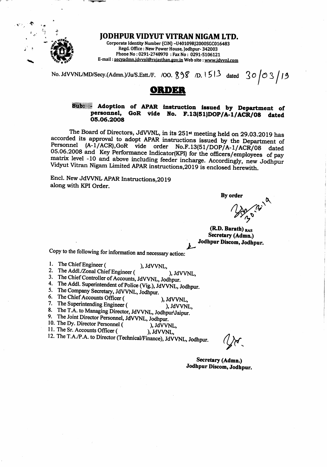

**IODHPUR VIDYUT VITRAN NIGAM LTD.** Corporate Identity Number (CIN) -U40109RJ2000SGC016483 Regd. Office: New Power House, Jodhpur- 342003 Phone No: 0291-2748970: Fax No: 0291-5106121 E-mail: secyadmn.jdvynl@rajasthan.gov.in Web site: www.jdvynl.com

No. JdVVNL/MD/Secy.(Admn.)/Ju/S.Estt./F. /00. 898 /D. 1513 dated 30 03 19

# ORDER

#### Adoption of APAR instruction issued by Department of Sub: GoR vide No. F.13(51)DOP/A-1/ACR/08 dated personnel, 05.06.2008

The Board of Directors, JdVVNL, in its 251<sup>st</sup> meeting held on 29.03.2019 has accorded its approval to adopt APAR instructions issued by the Department of Personnel (A-1/ACR), GoR vide order No.F.13(51/DOP/A-1/ACR/08 dated 05.06.2008 and Key Performance Indicator(KPI) for the officers/employees of pay matrix level -10 and above including feeder incharge. Accordingly, new Jodhpur Vidyut Vitran Nigam Limited APAR instructions, 2019 is enclosed herewith.

Encl. New JdVVNL APAR Instructions, 2019 along with KPI Order.

By order

(R.D. Barath) RAS Secretary (Admn.) Jodhpur Discom, Jodhpur.

Copy to the following for information and necessary action:

- 1. The Chief Engineer ( ), JdVVNL,
- 2. The Addl./Zonal Chief Engineer ( ). JdVVNL,
- 3. The Chief Controller of Accounts, JdVVNL, Jodhpur.
- 4. The Addl. Superintendent of Police (Vig.), JdVVNL, Jodhpur.
- 5. The Company Secretary, JdVVNL, Jodhpur.
- 6. The Chief Accounts Officer (
- ), JdVVNL, 7. The Superintending Engineer ( ), JdVVNL.
- 8. The T.A. to Managing Director, JdVVNL, JodhpurVaipur.
- 9. The Joint Director Personnel, JdVVNL, Jodhpur.
- 10. The Dy. Director Personnel ( ), JdVVNL.
- 11. The Sr. Accounts Officer ( ), JdVVNL.

12. The T.A./P.A. to Director (Technical/Finance), JdVVNL, Jodhpur.

Secretary (Admn.) Jodhpur Discom, Jodhpur.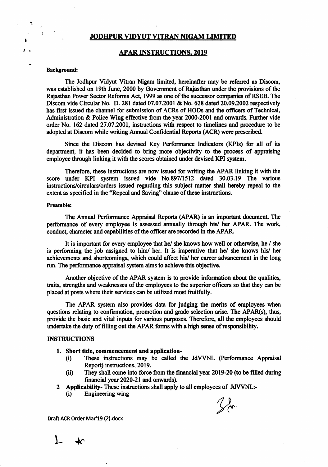### JODHPUR VIDYUT VITRAN NIGAM LIMITED

### APAR INSTRUCTIONS. 2OI9

### Background:

!

I

The Jodhpur Vidyut Vitran Nigam limited, hereinafter may be referred as Discom, was established on 19th June, 2000 by Government of Rajasthan under the provisions of the Rajasthan Power Sector Reforms Act, 1999 as one of the successor companies of RSEB. The Discom vide Circular No. D. 281 dated 07.07.2001 & No. 628 dared 20.09.2002 respectively has first issued the channel for submission of ACRs of HODs and the officers of Technical, Administration  $\&$  Police Wing effective from the year 2000-2001 and onwards. Further vide order No. 162 dated 27.07.2001, instructions with respect to timelines and procedure to be adopted at Discom while writing Annual Confidential Reports (ACR) were prescribed.

Since the Discom has devised Key Performance Indicators (KPIs) for all of its department, it has been decided to bring more objectivity to the process of appraising employee through linking it with the scores obtained under devised KPI system.

Therefore, these instructions are now issued for writing the APAR linking it with the score under KPI system issued vide No.897/1512 dated 30.03.19 Thc various instructions/circulars/orders issued regarding this subject matter shall hereby repeal to the extent as specified in the "Repeal and Saving" clause of these instructions.

### Preamble:

The Annual Performance Appraisal Reports (APAR) is an important document. The performance of every employee is assessed annually through his/ her APAR. The work, conduct, character and capabilities of the officer are recorded in the APAR.

It is important for every employee that he/ she knows how well or otherwise, he / she is performing the job assigned to him/ her. It is imperative that he/ she knows his/ her achievements and shortcomings, which could affect his/ her career advancement in the long run. The performance appraisal system aims to achieve this objective.

Another objective of the APAR system is to provide information about the qualities, traits, strengths and weaknesses of the employees to the superior officers so that they can be placed at posts where their services can be utilized most fruitfully.

The APAR system also provides data for judging the merits of employees when questions relating to confirmation, promotion and grade selection arise. The APAR(s), thus, provide the basic and vital inputs for various purposes. Therefore, all the employees should undertake the duty of filling out the APAR forms with a high sense of responsibility.

### INSTRUCTIONS

- 
- 1. Short title, commencement and application-<br>
(i) These instructions may be called the JdVVNL (Performance Appraisal Report) instructions, 2019.
	- $R$  ii) They shall come into force from the financial year 2019-20 (to be filled during financial year 2020-21 and onwards).
- 2 Applicability- These instructions shall apply to all employees of JdVVNL:-<br>(i) Engineering wing
	-



 $L$   $\star$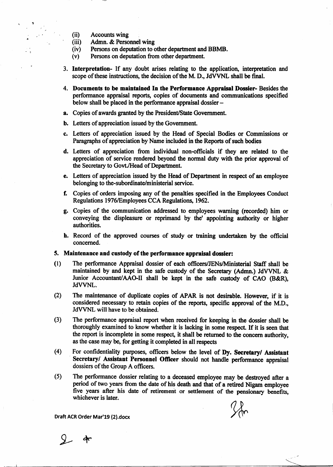- $(ii)$ **Accounts wing**
- $(iii)$ Admn. & Personnel wing
- Persons on deputation to other department and BBMB.  $(iv)$
- Persons on deputation from other department.  $(v)$
- 3. Interpretation- If any doubt arises relating to the application, interpretation and scope of these instructions, the decision of the M. D., JdVVNL shall be final.
- 4. Documents to be maintained In the Performance Appraisal Dossier- Besides the performance appraisal reports, copies of documents and communications specified below shall be placed in the performance appraisal dossier –
- a. Copies of awards granted by the President/State Government.
- **b.** Letters of appreciation issued by the Government.
- c. Letters of appreciation issued by the Head of Special Bodies or Commissions or Paragraphs of appreciation by Name included in the Reports of such bodies
- d. Letters of appreciation from individual non-officials if they are related to the appreciation of service rendered beyond the normal duty with the prior approval of the Secretary to Govt./Head of Department.
- e. Letters of appreciation issued by the Head of Department in respect of an employee belonging to the-subordinate/ministerial service.
- f. Copies of orders imposing any of the penalties specified in the Employees Conduct Regulations 1976/Employees CCA Regulations, 1962.
- g. Copies of the communication addressed to employees warning (recorded) him or conveying the displeasure or reprimand by the' appointing authority or higher authorities.
- h. Record of the approved courses of study or training undertaken by the official concerned.

### 5. Maintenance and custody of the performance appraisal dossier:

- The performance Appraisal dossier of each officers/JENs/Ministerial Staff shall be  $(1)$ maintained by and kept in the safe custody of the Secretary (Admn.) JdVVNL & Junior Accountant/AAO-II shall be kept in the safe custody of CAO (B&R), JdVVNL.
- $(2)$ The maintenance of duplicate copies of APAR is not desirable. However, if it is considered necessary to retain copies of the reports, specific approval of the M.D., JdVVNL will have to be obtained.
- $(3)$ The performance appraisal report when received for keeping in the dossier shall be thoroughly examined to know whether it is lacking in some respect. If it is seen that the report is incomplete in some respect, it shall be returned to the concern authority. as the case may be, for getting it completed in all respects
- For confidentiality purposes, officers below the level of Dy. Secretary/ Assistant  $(4)$ Secretary/ Assistant Personnel Officer should not handle performance appraisal dossiers of the Group A officers.
- $(5)$ The performance dossier relating to a deceased employee may be destroyed after a period of two years from the date of his death and that of a retired Nigam employee five years after his date of retirement or settlement of the pensionary benefits, whichever is later.

 $24$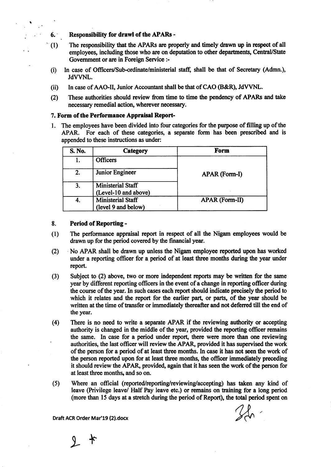**Responsibility for drawl of the APARs -**

 $6.$ 

- $\degree$  (1) The responsibility that the APARs are properly and timely drawn up in respect of all employees, including those who are on deputation to other departments, Central/State Government or are in Foreign Service :-
	- $(i)$ In case of Officers/Sub-ordinate/ministerial staff, shall be that of Secretary (Admn.), JdVVNL.
	- $(ii)$ In case of AAO-II, Junior Accountant shall be that of CAO (B&R), JdVVNL.
	- These authorities should review from time to time the pendency of APARs and take  $(2)$ necessary remedial action, wherever necessary.

### 7. Form of the Performance Appraisal Report-

1. The employees have been divided into four categories for the purpose of filling up of the APAR. For each of these categories, a separate form has been prescribed and is appended to these instructions as under:

| S. No. | Category                                  | Form                  |
|--------|-------------------------------------------|-----------------------|
|        | <b>Officers</b>                           |                       |
| 2.     | Junior Engineer                           | APAR (Form-I)         |
| 3.     | Ministerial Staff<br>(Level-10 and above) |                       |
| 4.     | Ministerial Staff<br>(level 9 and below)  | <b>APAR (Form-II)</b> |

#### 8. **Period of Reporting -**

- $(1)$ The performance appraisal report in respect of all the Nigam employees would be drawn up for the period covered by the financial year.
- No APAR shall be drawn up unless the Nigam employee reported upon has worked  $(2)$ under a reporting officer for a period of at least three months during the year under report.
- Subject to (2) above, two or more independent reports may be written for the same  $(3)$ year by different reporting officers in the event of a change in reporting officer during the course of the year. In such cases each report should indicate precisely the period to which it relates and the report for the earlier part, or parts, of the year should be written at the time of transfer or immediately thereafter and not deferred till the end of the year.
- $(4)$ There is no need to write a separate APAR if the reviewing authority or accepting authority is changed in the middle of the year, provided the reporting officer remains the same. In case for a period under report, there were more than one reviewing authorities, the last officer will review the APAR, provided it has supervised the work of the person for a period of at least three months. In case it has not seen the work of the person reported upon for at least three months, the officer immediately preceding it should review the APAR, provided, again that it has seen the work of the person for at least three months, and so on.
- Where an official (reported/reporting/reviewing/accepting) has taken any kind of  $(5)$ leave (Privilege leave/ Half Pay leave etc.) or remains on training for a long period (more than 15 days at a stretch during the period of Report), the total period spent on

 $2 *$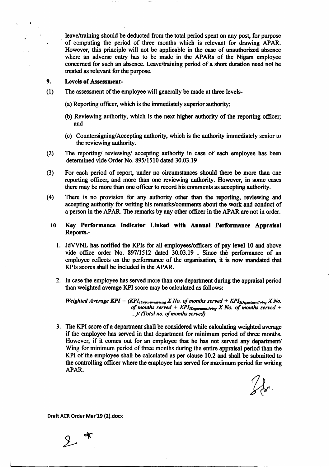leave/training should be deducted from the total period spent on any post, for purpose of computing the period of three months which is relwant for drawing APAR. However, this principle will not be applicable in the case of unauthorized absence where an adverse entry has to be made in the APARs of the Nigam employee concerned for such an absence. Leave/training period of a short duration need not be treated as relevant for the purpose.

#### 9. Levels of Assessment-

- (l) The assessment of the employee will generally be made at three levels-
	- (a) Reporting officer, which is the immediately superior authority;
	- (b) Reviewing authority, which is the next higher authority of the reporting officer; and
	- (c) Countersigning/Accepting authority, which is the authority immediately senior to the reviewing authority.
- The reporting/ reviewing/ accepting authority in case of each employee has been determincd vidc Order No. 895/1510 dated 30.03.19  $(2)$
- For each period of report, under no circumstances should there be more than one reporting officer, and more than one reviewing authority. However, in some cases there may be more than one officer to record his comments as accepting authority. (3)
- There is no provision for any authority other than the reporting, reviewing and accepting authority for writing his remarks/comments about the work and conduct of a person in the APAR. The remarks by any other officer in the APAR arc not in order. (4)
	- 10 Key Performance Indicator Linked with Annual Performance Appraisal Reports.-
		- 1. JdVVNL has notified the KPIs for all employees/officers of pay level 10 and above vide office order No.  $897/1512$  dated  $30.03.19$ . Since the performance of an employee reflects on the performance of the organisation, it is now mandated that KPIs scores shall be included in the APAR.
		- 2. In case the employee has served more than one department during the appraisal period than weighted average KPI score may be calculared as follows:

Weighted Average KPI =  $(KPI_{1Department/wing} X No.$  of months served + KPI<sub>2Department/wing</sub> X No. of months served + KPI<sub>3Department/wing</sub> X No. of months served + ...)/ (Total no. of months served)

3. The KPI score of a department shall be considered while calculating weighted average if the employee has scrved in that departnent for minimum period of three months. However, if it comes out for an employee that he has not served any department/ Wing for minimum period of three months during the entire appraisal period than the KPI of the employee shall be calculated as per clause 10.2 and shall be submitted to the controlling officer where the employee has served for maximum period for writing APAR.

 $2k.$ 

 $2$  \*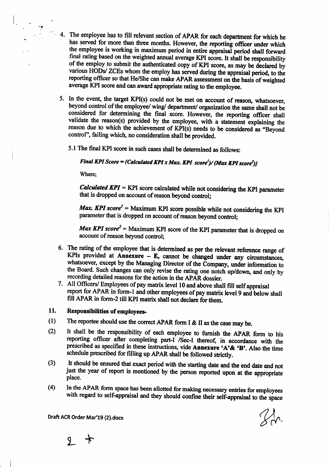- 4. The employee has to fill relevant section of APAR for each department for which he has served for more than three months. However, the reporting officer under which the employee is working in maximum period in entire appraisal period shall forward final rating based on the weighted annual average KPI score. It shall be responsibility of the employ to submit the authenticated copy of KPI score, as may be declared by various HODs/ ZCEs whom the employ has served during the appraisal period, to the reporting officer so that He/She can make APAR assessment on the basis of weighted average KPI score and can award appropriate rating to the employee.
	- 5. In the event, the target KPI(s) could not be met on account of reason, whatsoever, beyond control of the employee/ wing/ department/ organization the same shall not be considered for determining the final score. However, the reporting officer shall validate the reason(s) provided by the employee, with a statement explaining the reason due to which the achievement of KPI(s) needs to be considered as "Beyond control", failing which, no consideration shall be provided.
		- 5.1 The final KPI score in such cases shall be determined as follows:

## Final KPI Score = (Calculated KPI x Max. KPI score<sup>1</sup>)/ (Max KPI score<sup>2</sup>)}

Where:

**Calculated KPI** = KPI score calculated while not considering the KPI parameter that is dropped on account of reason beyond control:

**Max. KPI** score<sup> $l$ </sup> = Maximum KPI score possible while not considering the KPI parameter that is dropped on account of reason beyond control;

**Max KPI** score<sup>2</sup> = Maximum KPI score of the KPI parameter that is dropped on account of reason beyond control:

- 6. The rating of the employee that is determined as per the relevant reference range of KPIs provided at Annexure - E, cannot be changed under any circumstances, whatsoever, except by the Managing Director of the Company, under information to the Board. Such changes can only revise the rating one notch up/down, and only by recording detailed reasons for the action in the APAR dossier.
- 7. All Officers/ Employees of pay matrix level 10 and above shall fill self appraisal report for APAR in form-1 and other employees of pay matrix level 9 and below shall fill APAR in form-2 till KPI matrix shall not declare for them.

#### 11. **Responsibilities of employees-**

- The reportee should use the correct APAR form I & II as the case may be.  $(1)$
- It shall be the responsibility of each employee to furnish the APAR form to his  $(2)$ reporting officer after completing part-I /Sec-I thereof, in accordance with the prescribed as specified in these instructions, vide Annexure 'A'& 'B'. Also the time schedule prescribed for filling up APAR shall be followed strictly.
- It should be ensured that exact period with the starting date and the end date and not  $(3)$ just the year of report is mentioned by the person reported upon at the appropriate place.
- In the APAR form space has been allotted for making necessary entries for employees  $(4)$ with regard to self-appraisal and they should confine their self-appraisal to the space

 $\mathcal{U}$ 

9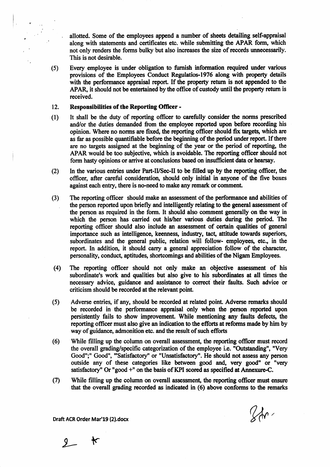allotted. Some of the employees append a number of sheets detailing self-appraisal along with statements and certificates etc. while submitting the APAR form, which not only renders the forms bulky but also increases the size of records unnecessarily. This is not desirable.

Every employee is under obligation to furnish information required under various  $(5)$ provisions of the Employees Conduct Regulatios-1976 along with property details with the performance appraisal report. If the property return is not appended to the APAR, it should not be entertained by the office of custody until the property return is received.

#### $12.$ **Responsibilities of the Reporting Officer -**

- It shall be the duty of reporting officer to carefully consider the norms prescribed  $(1)$ and/or the duties demanded from the employee reported upon before recording his opinion. Where no norms are fixed, the reporting officer should fix targets, which are as far as possible quantifiable before the beginning of the period under report. If there are no targets assigned at the beginning of the year or the period of reporting, the APAR would be too subjective, which is avoidable. The reporting officer should not form hasty opinions or arrive at conclusions based on insufficient data or hearsay.
- $(2)$ In the various entries under Part-II/Sec-II to be filled up by the reporting officer, the officer, after careful consideration, should only initial in anyone of the five boxes against each entry, there is no-need to make any remark or comment.
- The reporting officer should make an assessment of the performance and abilities of  $(3)$ the person reported upon briefly and intelligently relating to the general assessment of the person as required in the form. It should also comment generally on the way in which the person has carried out his/her various duties during the period. The reporting officer should also include an assessment of certain qualities of general importance such as intelligence, keenness, industry, tact, attitude towards superiors, subordinates and the general public, relation will follow- employees, etc., in the report. In addition, it should carry a general appreciation follow of the character, personality, conduct, aptitudes, shortcomings and abilities of the Nigam Employees.
- The reporting officer should not only make an objective assessment of his  $(4)$ subordinate's work and qualities but also give to his subordinates at all times the necessary advice, guidance and assistance to correct their faults. Such advice or criticism should be recorded at the relevant point.
- $(5)$ Adverse entries, if any, should be recorded at related point. Adverse remarks should be recorded in the performance appraisal only when the person reported upon persistently fails to show improvement. While mentioning any faults defects, the reporting officer must also give an indication to the efforts at reforms made by him by way of guidance, admonition etc. and the result of such efforts
- $(6)$ While filling up the column on overall assessment, the reporting officer must record the overall grading/specific categorization of the employee i.e. "Outstanding", "Very Good";" Good", "'Satisfactory" or "Unsatisfactory". He should not assess any person outside any of these categories like between good and, very good" or "very satisfactory" Or "good +" on the basis of KPI scored as specified at Annexure-C.
- $(7)$ While filling up the column on overall assessment, the reporting officer must ensure that the overall grading recorded as indicated in (6) above conforms to the remarks

 $\%r$ 

 $2$  $\star$